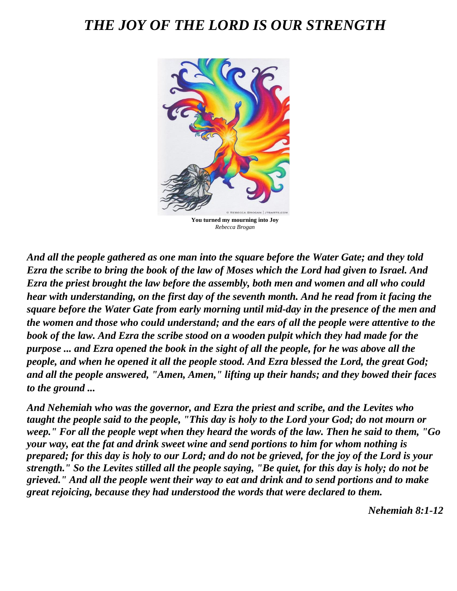# *THE JOY OF THE LORD IS OUR STRENGTH*



*Rebecca Brogan*

*And all the people gathered as one man into the square before the Water Gate; and they told Ezra the scribe to bring the book of the law of Moses which the Lord had given to Israel. And Ezra the priest brought the law before the assembly, both men and women and all who could hear with understanding, on the first day of the seventh month. And he read from it facing the square before the Water Gate from early morning until mid-day in the presence of the men and the women and those who could understand; and the ears of all the people were attentive to the book of the law. And Ezra the scribe stood on a wooden pulpit which they had made for the purpose ... and Ezra opened the book in the sight of all the people, for he was above all the people, and when he opened it all the people stood. And Ezra blessed the Lord, the great God; and all the people answered, "Amen, Amen," lifting up their hands; and they bowed their faces to the ground ...*

*And Nehemiah who was the governor, and Ezra the priest and scribe, and the Levites who taught the people said to the people, "This day is holy to the Lord your God; do not mourn or weep." For all the people wept when they heard the words of the law. Then he said to them, "Go your way, eat the fat and drink sweet wine and send portions to him for whom nothing is prepared; for this day is holy to our Lord; and do not be grieved, for the joy of the Lord is your strength." So the Levites stilled all the people saying, "Be quiet, for this day is holy; do not be grieved." And all the people went their way to eat and drink and to send portions and to make great rejoicing, because they had understood the words that were declared to them.* 

*Nehemiah 8:1-12*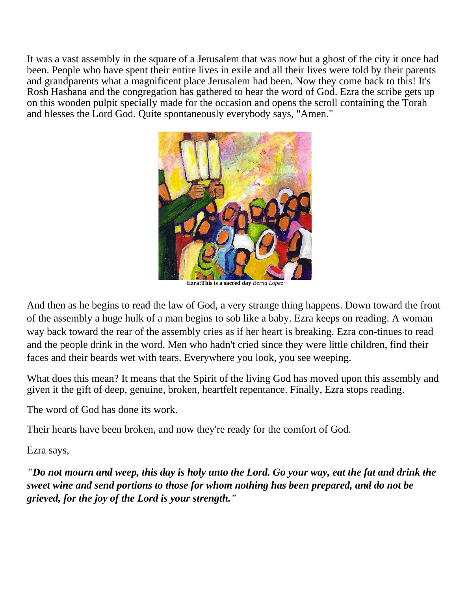It was a vast assembly in the square of a Jerusalem that was now but a ghost of the city it once had been. People who have spent their entire lives in exile and all their lives were told by their parents and grandparents what a magnificent place Jerusalem had been. Now they come back to this! It's Rosh Hashana and the congregation has gathered to hear the word of God. Ezra the scribe gets up on this wooden pulpit specially made for the occasion and opens the scroll containing the Torah and blesses the Lord God. Quite spontaneously everybody says, "Amen."



**Ezra:This is a sacred day** *Berna Lopez*

And then as he begins to read the law of God, a very strange thing happens. Down toward the front of the assembly a huge hulk of a man begins to sob like a baby. Ezra keeps on reading. A woman way back toward the rear of the assembly cries as if her heart is breaking. Ezra con-tinues to read and the people drink in the word. Men who hadn't cried since they were little children, find their faces and their beards wet with tears. Everywhere you look, you see weeping.

What does this mean? It means that the Spirit of the living God has moved upon this assembly and given it the gift of deep, genuine, broken, heartfelt repentance. Finally, Ezra stops reading.

The word of God has done its work.

Their hearts have been broken, and now they're ready for the comfort of God.

Ezra says,

*"Do not mourn and weep, this day is holy unto the Lord. Go your way, eat the fat and drink the sweet wine and send portions to those for whom nothing has been prepared, and do not be grieved, for the joy of the Lord is your strength."*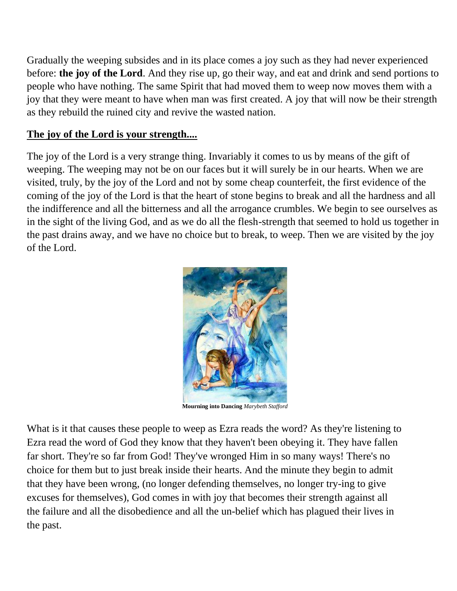Gradually the weeping subsides and in its place comes a joy such as they had never experienced before: **the joy of the Lord**. And they rise up, go their way, and eat and drink and send portions to people who have nothing. The same Spirit that had moved them to weep now moves them with a joy that they were meant to have when man was first created. A joy that will now be their strength as they rebuild the ruined city and revive the wasted nation.

#### **The joy of the Lord is your strength....**

The joy of the Lord is a very strange thing. Invariably it comes to us by means of the gift of weeping. The weeping may not be on our faces but it will surely be in our hearts. When we are visited, truly, by the joy of the Lord and not by some cheap counterfeit, the first evidence of the coming of the joy of the Lord is that the heart of stone begins to break and all the hardness and all the indifference and all the bitterness and all the arrogance crumbles. We begin to see ourselves as in the sight of the living God, and as we do all the flesh-strength that seemed to hold us together in the past drains away, and we have no choice but to break, to weep. Then we are visited by the joy of the Lord.



**Mourning into Dancing** *Marybeth Stafford*

What is it that causes these people to weep as Ezra reads the word? As they're listening to Ezra read the word of God they know that they haven't been obeying it. They have fallen far short. They're so far from God! They've wronged Him in so many ways! There's no choice for them but to just break inside their hearts. And the minute they begin to admit that they have been wrong, (no longer defending themselves, no longer try-ing to give excuses for themselves), God comes in with joy that becomes their strength against all the failure and all the disobedience and all the un-belief which has plagued their lives in the past.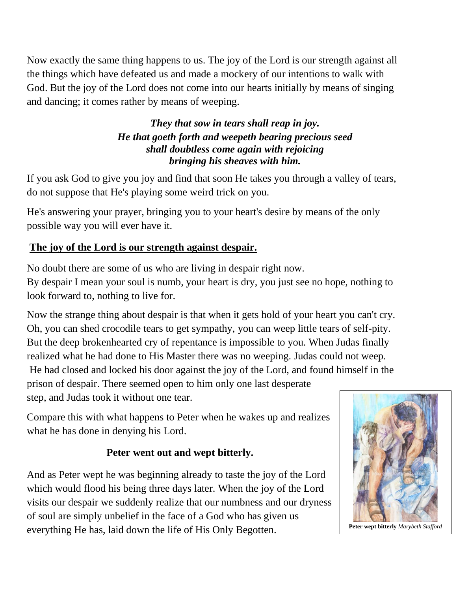Now exactly the same thing happens to us. The joy of the Lord is our strength against all the things which have defeated us and made a mockery of our intentions to walk with God. But the joy of the Lord does not come into our hearts initially by means of singing and dancing; it comes rather by means of weeping.

### *They that sow in tears shall reap in joy. He that goeth forth and weepeth bearing precious seed shall doubtless come again with rejoicing bringing his sheaves with him.*

If you ask God to give you joy and find that soon He takes you through a valley of tears, do not suppose that He's playing some weird trick on you.

He's answering your prayer, bringing you to your heart's desire by means of the only possible way you will ever have it.

## **The joy of the Lord is our strength against despair.**

No doubt there are some of us who are living in despair right now. By despair I mean your soul is numb, your heart is dry, you just see no hope, nothing to look forward to, nothing to live for.

Now the strange thing about despair is that when it gets hold of your heart you can't cry. Oh, you can shed crocodile tears to get sympathy, you can weep little tears of self-pity. But the deep brokenhearted cry of repentance is impossible to you. When Judas finally realized what he had done to His Master there was no weeping. Judas could not weep. He had closed and locked his door against the joy of the Lord, and found himself in the prison of despair. There seemed open to him only one last desperate step, and Judas took it without one tear.

Compare this with what happens to Peter when he wakes up and realizes what he has done in denying his Lord.

## **Peter went out and wept bitterly.**

And as Peter wept he was beginning already to taste the joy of the Lord which would flood his being three days later. When the joy of the Lord visits our despair we suddenly realize that our numbness and our dryness of soul are simply unbelief in the face of a God who has given us everything He has, laid down the life of His Only Begotten. Peter wept bitterly *Marybeth Stafford* 

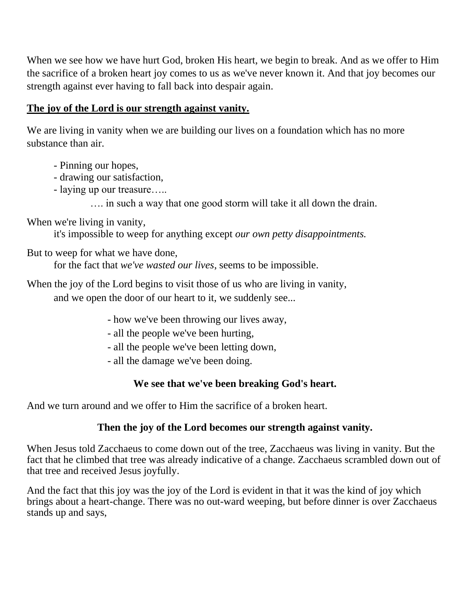When we see how we have hurt God, broken His heart, we begin to break. And as we offer to Him the sacrifice of a broken heart joy comes to us as we've never known it. And that joy becomes our strength against ever having to fall back into despair again.

#### **The joy of the Lord is our strength against vanity.**

We are living in vanity when we are building our lives on a foundation which has no more substance than air.

- Pinning our hopes,
- drawing our satisfaction,
- laying up our treasure…..

…. in such a way that one good storm will take it all down the drain.

### When we're living in vanity,

it's impossible to weep for anything except *our own petty disappointments.* 

But to weep for what we have done,

for the fact that *we've wasted our lives*, seems to be impossible.

When the joy of the Lord begins to visit those of us who are living in vanity,

and we open the door of our heart to it, we suddenly see...

- how we've been throwing our lives away,
- all the people we've been hurting,
- all the people we've been letting down,
- all the damage we've been doing.

### **We see that we've been breaking God's heart.**

And we turn around and we offer to Him the sacrifice of a broken heart.

### **Then the joy of the Lord becomes our strength against vanity.**

When Jesus told Zacchaeus to come down out of the tree, Zacchaeus was living in vanity. But the fact that he climbed that tree was already indicative of a change. Zacchaeus scrambled down out of that tree and received Jesus joyfully.

And the fact that this joy was the joy of the Lord is evident in that it was the kind of joy which brings about a heart-change. There was no out-ward weeping, but before dinner is over Zacchaeus stands up and says,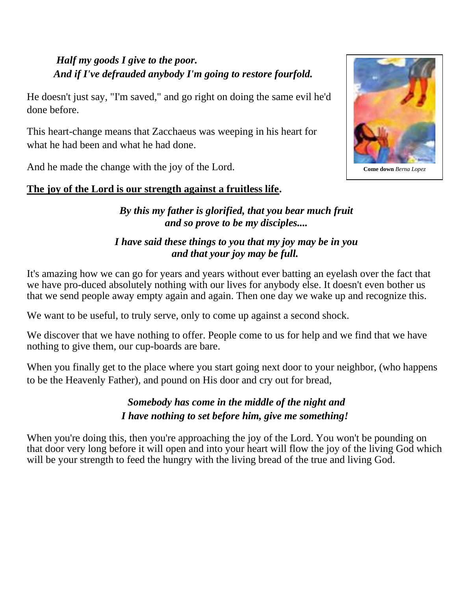## *Half my goods I give to the poor. And if I've defrauded anybody I'm going to restore fourfold.*

He doesn't just say, "I'm saved," and go right on doing the same evil he'd done before.

This heart-change means that Zacchaeus was weeping in his heart for what he had been and what he had done.

And he made the change with the joy of the Lord.

### **The joy of the Lord is our strength against a fruitless life.**

*By this my father is glorified, that you bear much fruit and so prove to be my disciples....*

### *I have said these things to you that my joy may be in you and that your joy may be full.*

It's amazing how we can go for years and years without ever batting an eyelash over the fact that we have pro-duced absolutely nothing with our lives for anybody else. It doesn't even bother us that we send people away empty again and again. Then one day we wake up and recognize this.

We want to be useful, to truly serve, only to come up against a second shock.

We discover that we have nothing to offer. People come to us for help and we find that we have nothing to give them, our cup-boards are bare.

When you finally get to the place where you start going next door to your neighbor, (who happens to be the Heavenly Father), and pound on His door and cry out for bread,

## *Somebody has come in the middle of the night and I have nothing to set before him, give me something!*

When you're doing this, then you're approaching the joy of the Lord. You won't be pounding on that door very long before it will open and into your heart will flow the joy of the living God which will be your strength to feed the hungry with the living bread of the true and living God.



**Come down** *Berna Lopez*